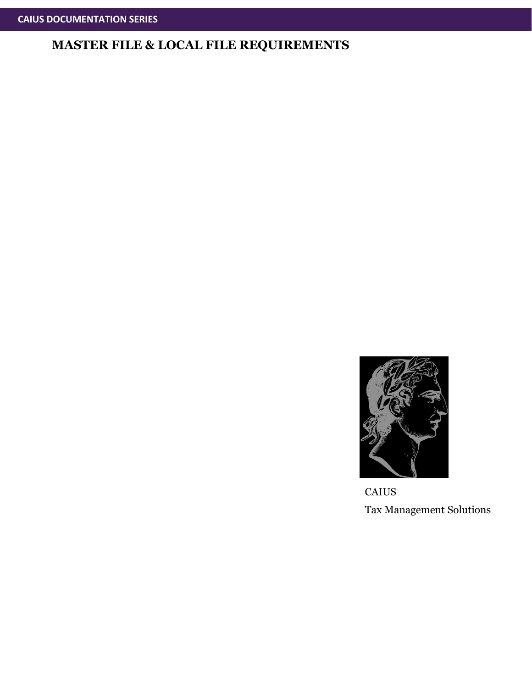

**CAIUS** Tax Management Solutions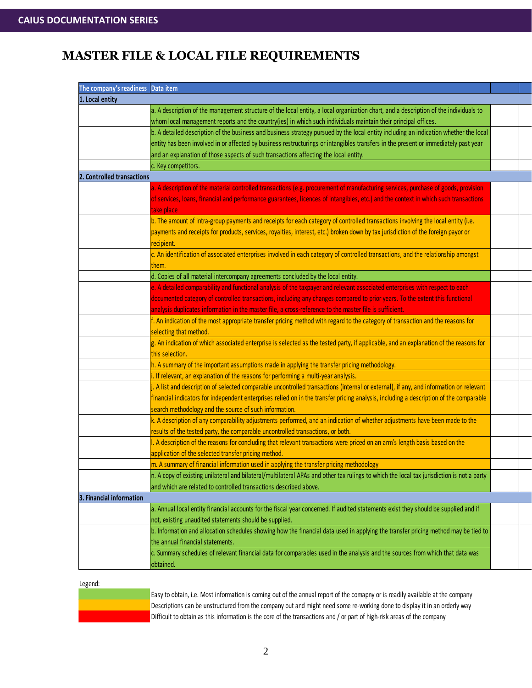| The company's readiness Data item |                                                                                                                                           |  |
|-----------------------------------|-------------------------------------------------------------------------------------------------------------------------------------------|--|
| 1. Local entity                   |                                                                                                                                           |  |
|                                   | a. A description of the management structure of the local entity, a local organization chart, and a description of the individuals to     |  |
|                                   | whom local management reports and the country(ies) in which such individuals maintain their principal offices.                            |  |
|                                   | b. A detailed description of the business and business strategy pursued by the local entity including an indication whether the local     |  |
|                                   | entity has been involved in or affected by business restructurings or intangibles transfers in the present or immediately past year       |  |
|                                   | and an explanation of those aspects of such transactions affecting the local entity.                                                      |  |
|                                   | c. Key competitors.                                                                                                                       |  |
| 2. Controlled transactions        |                                                                                                                                           |  |
|                                   | a. A description of the material controlled transactions (e.g. procurement of manufacturing services, purchase of goods, provision        |  |
|                                   | of services, loans, financial and performance guarantees, licences of intangibles, etc.) and the context in which such transactions       |  |
|                                   | take place                                                                                                                                |  |
|                                   | b. The amount of intra-group payments and receipts for each category of controlled transactions involving the local entity (i.e.          |  |
|                                   | payments and receipts for products, services, royalties, interest, etc.) broken down by tax jurisdiction of the foreign payor or          |  |
|                                   | recipient.                                                                                                                                |  |
|                                   | c. An identification of associated enterprises involved in each category of controlled transactions, and the relationship amongst         |  |
|                                   | them.                                                                                                                                     |  |
|                                   | d. Copies of all material intercompany agreements concluded by the local entity.                                                          |  |
|                                   | e. A detailed comparability and functional analysis of the taxpayer and relevant associated enterprises with respect to each              |  |
|                                   | documented category of controlled transactions, including any changes compared to prior years. To the extent this functional              |  |
|                                   | analysis duplicates information in the master file, a cross-reference to the master file is sufficient.                                   |  |
|                                   | f. An indication of the most appropriate transfer pricing method with regard to the category of transaction and the reasons for           |  |
|                                   | selecting that method.                                                                                                                    |  |
|                                   | g. An indication of which associated enterprise is selected as the tested party, if applicable, and an explanation of the reasons for     |  |
|                                   | this selection.                                                                                                                           |  |
|                                   | h. A summary of the important assumptions made in applying the transfer pricing methodology.                                              |  |
|                                   | i. If relevant, an explanation of the reasons for performing a multi-year analysis.                                                       |  |
|                                   | i. A list and description of selected comparable uncontrolled transactions (internal or external), if any, and information on relevant    |  |
|                                   | financial indicators for independent enterprises relied on in the transfer pricing analysis, including a description of the comparable    |  |
|                                   | search methodology and the source of such information.                                                                                    |  |
|                                   | k. A description of any comparability adjustments performed, and an indication of whether adjustments have been made to the               |  |
|                                   | results of the tested party, the comparable uncontrolled transactions, or both.                                                           |  |
|                                   | I. A description of the reasons for concluding that relevant transactions were priced on an arm's length basis based on the               |  |
|                                   | application of the selected transfer pricing method.                                                                                      |  |
|                                   | m. A summary of financial information used in applying the transfer pricing methodology                                                   |  |
|                                   | n. A copy of existing unilateral and bilateral/multilateral APAs and other tax rulings to which the local tax jurisdiction is not a party |  |
|                                   | and which are related to controlled transactions described above.                                                                         |  |
| 3. Financial information          |                                                                                                                                           |  |
|                                   | a. Annual local entity financial accounts for the fiscal year concerned. If audited statements exist they should be supplied and if       |  |
|                                   | not, existing unaudited statements should be supplied.                                                                                    |  |
|                                   | b. Information and allocation schedules showing how the financial data used in applying the transfer pricing method may be tied to        |  |
|                                   | the annual financial statements.                                                                                                          |  |
|                                   | c. Summary schedules of relevant financial data for comparables used in the analysis and the sources from which that data was             |  |
|                                   | obtained.                                                                                                                                 |  |

Legend:



Easy to obtain, i.e. Most information is coming out of the annual report of the comapny or is readily available at the company Descriptions can be unstructured from the company out and might need some re-working done to display it in an orderly way Difficult to obtain as this information is the core of the transactions and / or part of high-risk areas of the company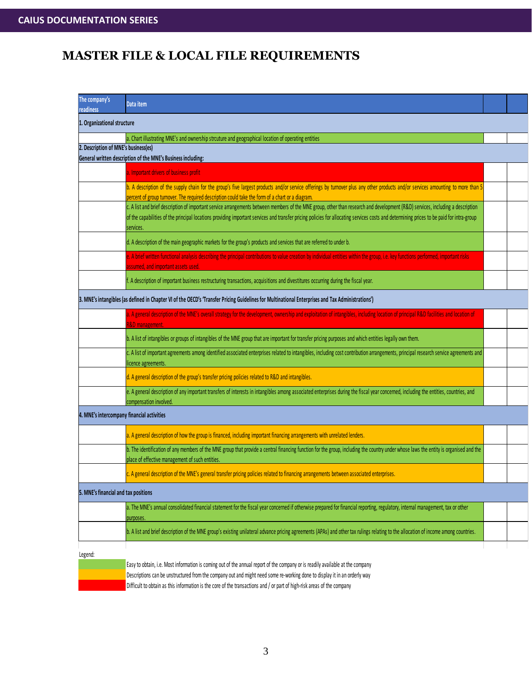| The company's<br>readiness           | Data item                                                                                                                                                                                                                                                                                                                                                                                 |  |
|--------------------------------------|-------------------------------------------------------------------------------------------------------------------------------------------------------------------------------------------------------------------------------------------------------------------------------------------------------------------------------------------------------------------------------------------|--|
| 1. Organizational structure          |                                                                                                                                                                                                                                                                                                                                                                                           |  |
|                                      | a. Chart illustrating MNE's and ownership strcuture and geographical location of operating entities                                                                                                                                                                                                                                                                                       |  |
| 2. Description of MNE's business(es) |                                                                                                                                                                                                                                                                                                                                                                                           |  |
|                                      | General written description of the MNE's Business including:                                                                                                                                                                                                                                                                                                                              |  |
|                                      | a. Important drivers of business profit                                                                                                                                                                                                                                                                                                                                                   |  |
|                                      | b. A description of the supply chain for the group's five largest products and/or service offerings by turnover plus any other products and/or services amounting to more than 5<br>percent of group turnover. The required description could take the form of a chart or a diagram.                                                                                                      |  |
|                                      | c. A list and brief description of important service arrangements between members of the MNE group, other than research and development (R&D) services, including a description<br>of the capabilities of the principal locations providing important services and transfer pricing policies for allocating services costs and determining prices to be paid for intra-group<br>services. |  |
|                                      | d. A description of the main geographic markets for the group's products and services that are referred to under b.                                                                                                                                                                                                                                                                       |  |
|                                      | e. A brief written functional analysis describing the principal contributions to value creation by individual entities within the group, i.e. key functions performed, important risks<br>ssumed, and important assets used                                                                                                                                                               |  |
|                                      | f. A description of important business restructuring transactions, acquisitions and divestitures occurring during the fiscal year.                                                                                                                                                                                                                                                        |  |
|                                      | 3. MNE's intangibles (as defined in Chapter VI of the OECD's 'Transfer Pricing Guidelines for Multinational Enterprises and Tax Administrations')                                                                                                                                                                                                                                         |  |
|                                      | a. A general description of the MNE's overall strategy for the development, ownership and exploitation of intangibles, including location of principal R&D facilities and location of<br><b>R&amp;D</b> management.                                                                                                                                                                       |  |
|                                      | b. A list of intangibles or groups of intangibles of the MNE group that are important for transfer pricing purposes and which entities legally own them.                                                                                                                                                                                                                                  |  |
|                                      | c. A list of important agreements among identified associated enterprises related to intangibles, including cost contribution arrangements, principal research service agreements and<br>licence agreements.                                                                                                                                                                              |  |
|                                      | d. A general description of the group's transfer pricing policies related to R&D and intangibles.                                                                                                                                                                                                                                                                                         |  |
|                                      | e. A general description of any important transfers of interests in intangibles among associated enterprises during the fiscal year concerned, including the entities, countries, and<br>compensation involved.                                                                                                                                                                           |  |
|                                      | 4. MNE's intercompany financial activities                                                                                                                                                                                                                                                                                                                                                |  |
|                                      | a. A general description of how the group is financed, including important financing arrangements with unrelated lenders.                                                                                                                                                                                                                                                                 |  |
|                                      | b. The identification of any members of the MNE group that provide a central financing function for the group, including the country under whose laws the entity is organised and the<br>place of effective management of such entities.                                                                                                                                                  |  |
|                                      | c. A general description of the MNE's general transfer pricing policies related to financing arrangements between associated enterprises.                                                                                                                                                                                                                                                 |  |
| 5. MNE's financial and tax positions |                                                                                                                                                                                                                                                                                                                                                                                           |  |
|                                      | a. The MNE's annual consolidated financial statement for the fiscal year concerned if otherwise prepared for financial reporting, regulatory, internal management, tax or other<br>purposes                                                                                                                                                                                               |  |
|                                      | b. A list and brief description of the MNE group's existing unilateral advance pricing agreements (APAs) and other tax rulings relating to the allocation of income among countries.                                                                                                                                                                                                      |  |
| Legend:                              | Easy to obtain, i.e. Most information is coming out of the annual report of the company or is readily available at the company                                                                                                                                                                                                                                                            |  |

Descriptions can be unstructured from the company out and might need some re-working done to display it in an orderly way

Difficult to obtain as this information is the core of the transactions and / or part of high-risk areas of the company